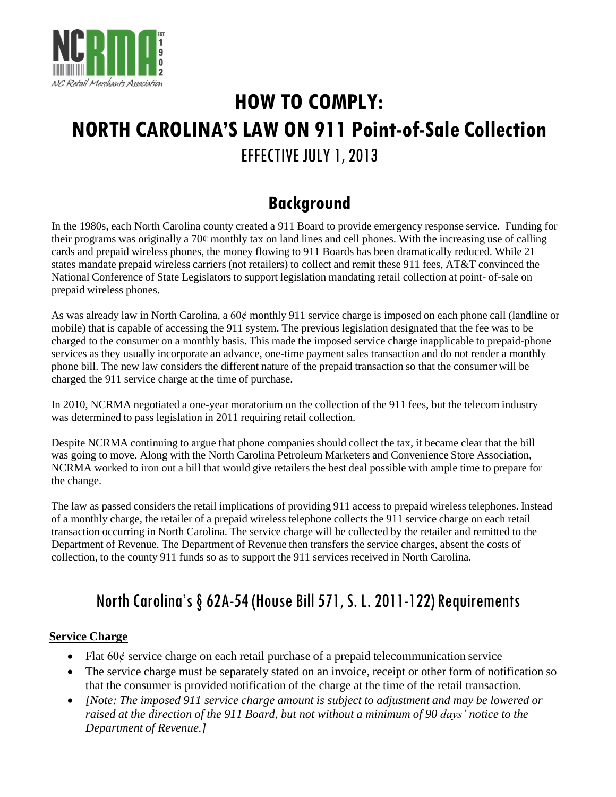

# **HOW TO COMPLY: NORTH CAROLINA'SLAW ON 911 Point-of-Sale Collection** EFFECTIVE JULY 1, 2013

# **Background**

In the 1980s, each North Carolina county created a 911 Board to provide emergency response service. Funding for their programs was originally a 70¢ monthly tax on land lines and cell phones. With the increasing use of calling cards and prepaid wireless phones, the money flowing to 911 Boards has been dramatically reduced. While 21 states mandate prepaid wireless carriers (not retailers) to collect and remit these 911 fees, AT&T convinced the National Conference of State Legislators to support legislation mandating retail collection at point- of-sale on prepaid wireless phones.

As was already law in North Carolina, a  $60¢$  monthly 911 service charge is imposed on each phone call (landline or mobile) that is capable of accessing the 911 system. The previous legislation designated that the fee was to be charged to the consumer on a monthly basis. This made the imposed service charge inapplicable to prepaid-phone services as they usually incorporate an advance, one-time payment sales transaction and do not render a monthly phone bill. The new law considers the different nature of the prepaid transaction so that the consumer will be charged the 911 service charge at the time of purchase.

In 2010, NCRMA negotiated a one-year moratorium on the collection of the 911 fees, but the telecom industry was determined to pass legislation in 2011 requiring retail collection.

Despite NCRMA continuing to argue that phone companies should collect the tax, it became clear that the bill was going to move. Along with the North Carolina Petroleum Marketers and Convenience Store Association, NCRMA worked to iron out a bill that would give retailers the best deal possible with ample time to prepare for the change.

The law as passed considers the retail implications of providing 911 access to prepaid wireless telephones. Instead of a monthly charge, the retailer of a prepaid wireless telephone collects the 911 service charge on each retail transaction occurring in North Carolina. The service charge will be collected by the retailer and remitted to the Department of Revenue. The Department of Revenue then transfers the service charges, absent the costs of collection, to the county 911 funds so as to support the 911 services received in North Carolina.

# North Carolina's § 62A-54 (House Bill 571, S. L. 2011-122) Requirements

# **Service Charge**

- Flat  $60¢$  service charge on each retail purchase of a prepaid telecommunication service
- The service charge must be separately stated on an invoice, receipt or other form of notification so that the consumer is provided notification of the charge at the time of the retail transaction*.*
- *[Note: The imposed 911 service charge amount is subject to adjustment and may be lowered or* raised at the direction of the 911 Board, but not without a minimum of 90 days' notice to the *Department of Revenue.]*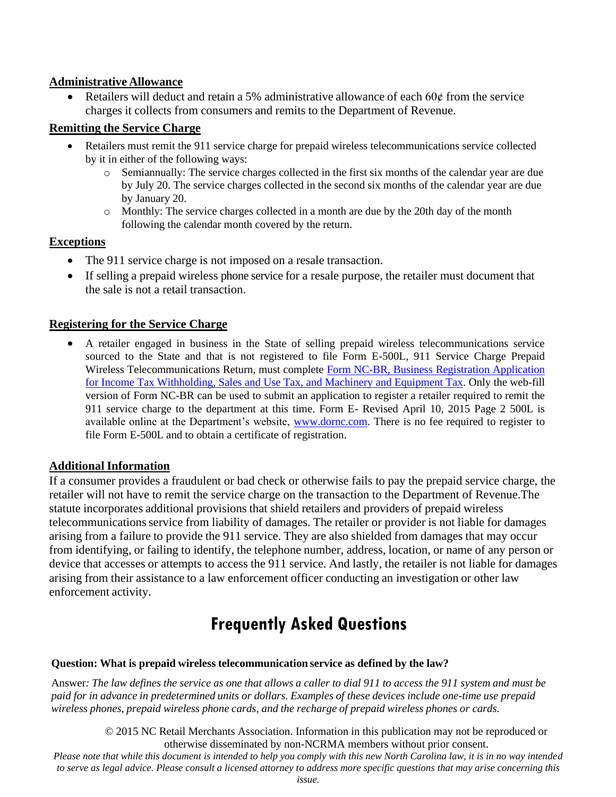### **Administrative Allowance**

• Retailers will deduct and retain a 5% administrative allowance of each  $60¢$  from the service charges it collects from consumers and remits to the Department of Revenue.

# **Remitting the Service Charge**

- Retailers must remit the 911 service charge for prepaid wireless telecommunications service collected by it in either of the following ways:
	- o Semiannually: The service charges collected in the first six months of the calendar year are due by July 20. The service charges collected in the second six months of the calendar year are due by January 20.
	- o Monthly: The service charges collected in a month are due by the 20th day of the month following the calendar month covered by the return.

# **Exceptions**

- The 911 service charge is not imposed on a resale transaction.
- If selling a prepaid wireless phone service for a resale purpose, the retailer must document that the sale is not a retail transaction.

# **Registering for the Service Charge**

• A retailer engaged in business in the State of selling prepaid wireless telecommunications service sourced to the State and that is not registered to file Form E-500L, 911 Service Charge Prepaid Wireless Telecommunications Return, must complete [Form NC-BR, Business Registration Application](http://www.dornc.com/downloads/fillin/NCBR_webfill.pdf)  [for Income Tax Withholding, Sales and Use Tax, and Machinery and Equipment Tax.](http://www.dornc.com/downloads/fillin/NCBR_webfill.pdf) Only the web-fill version of Form NC-BR can be used to submit an application to register a retailer required to remit the 911 service charge to the department at this time. Form E- Revised April 10, 2015 Page 2 500L is available online at the Department's website, [www.dornc.com.](www.dornc.com) There is no fee required to register to file Form E-500L and to obtain a certificate of registration.

# **Additional Information**

If a consumer provides a fraudulent or bad check or otherwise fails to pay the prepaid service charge, the retailer will not have to remit the service charge on the transaction to the Department of Revenue.The statute incorporates additional provisions that shield retailers and providers of prepaid wireless telecommunicationsservice from liability of damages. The retailer or provider is not liable for damages arising from a failure to provide the 911 service. They are also shielded from damages that may occur from identifying, or failing to identify, the telephone number, address, location, or name of any person or device that accesses or attempts to access the 911 service. And lastly, the retailer is not liable for damages arising from their assistance to a law enforcement officer conducting an investigation or other law enforcement activity.

# **Frequently Asked Questions**

# **Question: What is prepaid wireless telecommunication service as defined by the law?**

Answer: The law defines the service as one that allows a caller to dial 911 to access the 911 system and must be paid for in advance in predetermined units or dollars. Examples of these devices include one-time use prepaid *wireless phones, prepaid wireless phone cards, and the recharge of prepaid wireless phones or cards.*

© 2015 NC Retail Merchants Association. Information in this publication may not be reproduced or otherwise disseminated by non-NCRMA members without prior consent.

*Please note that while this document is intended to help you comply with this new North Carolina law, it is in no way intended to serve as legal advice. Please consult a licensed attorney to address more specific questions that may arise concerning this issue.*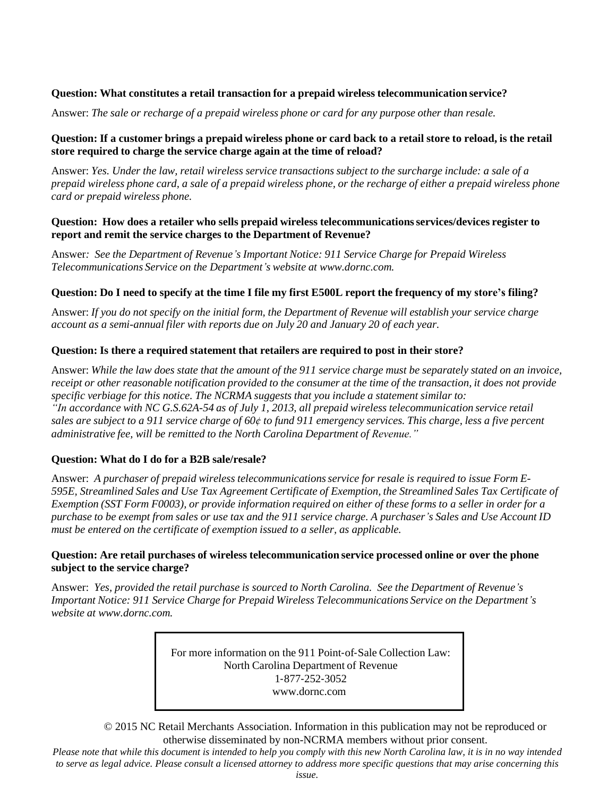### **Question: What constitutes a retail transaction for a prepaid wireless telecommunication service?**

Answer: *The sale or recharge of a prepaid wireless phone or card for any purpose other than resale.*

### Question: If a customer brings a prepaid wireless phone or card back to a retail store to reload, is the retail **store required to charge the service charge again at the time of reload?**

Answer: Yes. Under the law, retail wireless service transactions subject to the surcharge include: a sale of a prepaid wireless phone card, a sale of a prepaid wireless phone, or the recharge of either a prepaid wireless phone *card or prepaid wireless phone.*

### **Question: How does a retailer who sells prepaid wireless telecommunicationsservices/devices register to report and remit the service charges to the Department of Revenue?**

Answer*: See the Department of Revenue's Important Notice: 911 Service Charge for Prepaid Wireless Telecommunications Service on the Department's website at [www.dornc.com.](http://www.dornc.com/)*

### Ouestion: Do I need to specify at the time I file my first E500L report the frequency of my store's filing?

Answer: If you do not specify on the initial form, the Department of Revenue will establish your service charge *account as a semi-annual filer with reports due on July 20 and January 20 of each year.*

### **Question: Is there a required statement that retailers are required to post in their store?**

Answer: While the law does state that the amount of the 911 service charge must be separately stated on an invoice, receipt or other reasonable notification provided to the consumer at the time of the transaction, it does not provide *specific verbiage for this notice. The NCRMA suggests that you include a statement similar to: "In accordance with NC G.S.62A-54 as of July 1, 2013, all prepaid wireless telecommunication service retail*  sales are subject to a 911 service charge of 60¢ to fund 911 emergency services. This charge, less a five percent *administrative fee, will be remitted to the North Carolina Department of Revenue."*

### **Question: What do I do for a B2B sale/resale?**

Answer: *A purchaser of prepaid wireless telecommunicationsservice for resale is required to issue Form E-595E, Streamlined Sales and Use Tax Agreement Certificate of Exemption, the Streamlined Sales Tax Certificate of* Exemption (SST Form F0003), or provide information required on either of these forms to a seller in order for a purchase to be exempt from sales or use tax and the 911 service charge. A purchaser's Sales and Use Account ID *must be entered on the certificate of exemption issued to a seller, as applicable.*

### **Question: Are retail purchases of wireless telecommunication service processed online or over the phone subject to the service charge?**

Answer: *Yes, provided the retail purchase is sourced to North Carolina. See the Department of Revenue's Important Notice: 911 Service Charge for Prepaid Wireless Telecommunications Service on the Department's website at [www.dornc.com.](http://www.dornc.com/)*

> For more information on the 911 Point-of-Sale Collection Law: North Carolina Department of Revenue 1‐877‐252‐3052 [www.dornc.com](http://www.dornc.com/)

© 2015 NC Retail Merchants Association. Information in this publication may not be reproduced or otherwise disseminated by non-NCRMA members without prior consent.

*Please note that while this document is intended to help you comply with this new North Carolina law, it is in no way intended to serve as legal advice. Please consult a licensed attorney to address more specific questions that may arise concerning this issue.*